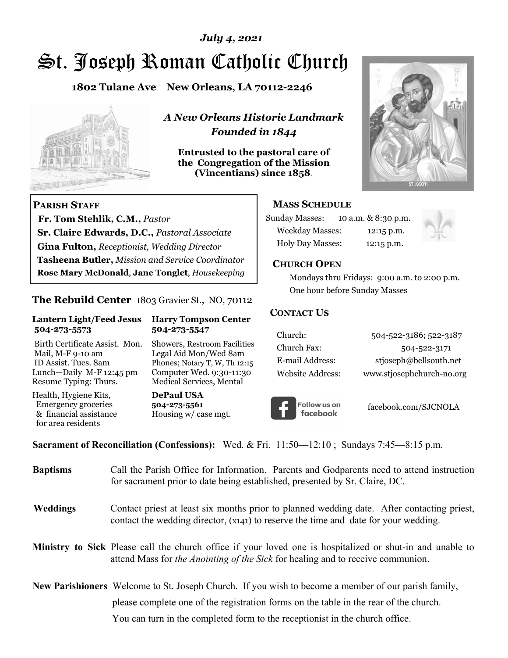## *July 4, 2021*

# St. Joseph Roman Catholic Church

**1802 Tulane Ave New Orleans, LA 70112-2246**



 **Fr. Tom Stehlik, C.M.,** *Pastor* 

**Sr. Claire Edwards, D.C.,** *Pastoral Associate* **Gina Fulton,** *Receptionist, Wedding Director* 

**Tasheena Butler,** *Mission and Service Coordinator* **Rose Mary McDonald**, **Jane Tonglet**, *Housekeeping*

**The Rebuild Center** 1803 Gravier St., NO, 70112

**Lantern Light/Feed Jesus Harry Tompson Center** 

Birth Certificate Assist. Mon. Showers, Restroom Facilities Mail, M-F 9-10 am Legal Aid Mon/Wed 8am ID Assist. Tues. 8am Phones; Notary T, W, Th 12:15 Lunch—Daily M-F 12:45 pm Computer Wed. 9:30-11:30 Resume Typing: Thurs. Medical Services, Mental

 **504-273-5573 504-273-5547** 

Health, Hygiene Kits, **DePaul USA**  Emergency groceries **504-273-5561**<br>& financial assistance **Housing w/** ca

**PARISH STAFF**

for area residents

*A New Orleans Historic Landmark Founded in 1844* 

**Entrusted to the pastoral care of the Congregation of the Mission (Vincentians) since 1858**.



#### **MASS SCHEDULE**

| <b>Sunday Masses:</b>  | 10 a.m. & 8:30 p.m. |
|------------------------|---------------------|
| <b>Weekday Masses:</b> | $12:15$ p.m.        |
| Holy Day Masses:       | 12:15 p.m.          |



#### **CHURCH OPEN**

 Mondays thru Fridays: 9:00 a.m. to 2:00 p.m. One hour before Sunday Masses

#### **CONTACT US**

| Church:          | 504-522-3186; 522-3187    |
|------------------|---------------------------|
| Church Fax:      | 504-522-3171              |
| E-mail Address:  | stjoseph@bellsouth.net    |
| Website Address: | www.stjosephchurch-no.org |



facebook.com/SJCNOLA

**Sacrament of Reconciliation (Confessions):** Wed. & Fri. 11:50—12:10 ; Sundays 7:45—8:15 p.m.

Housing w/ case mgt.

| <b>Baptisms</b> | Call the Parish Office for Information. Parents and Godparents need to attend instruction<br>for sacrament prior to date being established, presented by Sr. Claire, DC.                                   |
|-----------------|------------------------------------------------------------------------------------------------------------------------------------------------------------------------------------------------------------|
| <b>Weddings</b> | Contact priest at least six months prior to planned wedding date. After contacting priest,<br>contact the wedding director, (x141) to reserve the time and date for your wedding.                          |
|                 | <b>Ministry to Sick</b> Please call the church office if your loved one is hospitalized or shut-in and unable to<br>attend Mass for <i>the Anointing of the Sick</i> for healing and to receive communion. |
|                 | <b>New Parishioners</b> Welcome to St. Joseph Church. If you wish to become a member of our parish family,                                                                                                 |
|                 | please complete one of the registration forms on the table in the rear of the church.                                                                                                                      |
|                 | You can turn in the completed form to the reception ist in the church office.                                                                                                                              |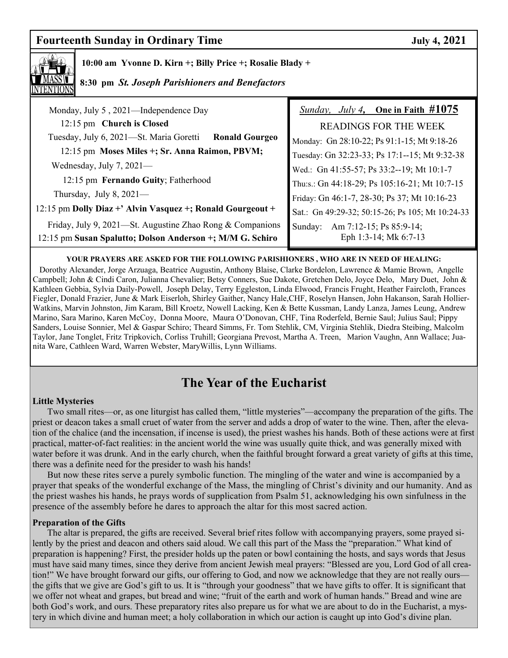## **Fourteenth Sunday in Ordinary Time Sunday 1.1 September 1.1 September 2021**

 **10:00 am Yvonne D. Kirn +; Billy Price +; Rosalie Blady +** 

### **8:30 pm** *St. Joseph Parishioners and Benefactors*

| <i>Sunday, July 4,</i> One in Faith $\#1075$                |
|-------------------------------------------------------------|
| <b>READINGS FOR THE WEEK</b>                                |
| Monday: Gn 28:10-22; Ps 91:1-15; Mt 9:18-26                 |
| Tuesday: Gn 32:23-33; Ps 17:1--15; Mt 9:32-38               |
| Wed.: Gn 41:55-57; Ps 33:2--19; Mt 10:1-7                   |
| Thu:s.: Gn 44:18-29; Ps 105:16-21; Mt 10:7-15               |
| Friday: Gn 46:1-7, 28-30; Ps 37; Mt 10:16-23                |
| Sat.: Gn 49:29-32; 50:15-26; Ps 105; Mt 10:24-33            |
| Am 7:12-15; Ps 85:9-14;<br>Sunday:<br>Eph 1:3-14; Mk 6:7-13 |
|                                                             |

#### **YOUR PRAYERS ARE ASKED FOR THE FOLLOWING PARISHIONERS , WHO ARE IN NEED OF HEALING:**

 Dorothy Alexander, Jorge Arzuaga, Beatrice Augustin, Anthony Blaise, Clarke Bordelon, Lawrence & Mamie Brown, Angelle Campbell; John & Cindi Caron, Julianna Chevalier; Betsy Conners, Sue Dakote, Gretchen Delo, Joyce Delo, Mary Duet, John & Kathleen Gebbia, Sylvia Daily-Powell, Joseph Delay, Terry Eggleston, Linda Elwood, Francis Frught, Heather Faircloth, Frances Fiegler, Donald Frazier, June & Mark Eiserloh, Shirley Gaither, Nancy Hale,CHF, Roselyn Hansen, John Hakanson, Sarah Hollier-Watkins, Marvin Johnston, Jim Karam, Bill Kroetz, Nowell Lacking, Ken & Bette Kussman, Landy Lanza, James Leung, Andrew Marino, Sara Marino, Karen McCoy, Donna Moore, Maura O'Donovan, CHF, Tina Roderfeld, Bernie Saul; Julius Saul; Pippy Sanders, Louise Sonnier, Mel & Gaspar Schiro; Theard Simms, Fr. Tom Stehlik, CM, Virginia Stehlik, Diedra Steibing, Malcolm Taylor, Jane Tonglet, Fritz Tripkovich, Corliss Truhill; Georgiana Prevost, Martha A. Treen, Marion Vaughn, Ann Wallace; Juanita Ware, Cathleen Ward, Warren Webster, MaryWillis, Lynn Williams.

# **The Year of the Eucharist**

#### **Little Mysteries**

 Two small rites—or, as one liturgist has called them, "little mysteries"—accompany the preparation of the gifts. The priest or deacon takes a small cruet of water from the server and adds a drop of water to the wine. Then, after the elevation of the chalice (and the incensation, if incense is used), the priest washes his hands. Both of these actions were at first practical, matter-of-fact realities: in the ancient world the wine was usually quite thick, and was generally mixed with water before it was drunk. And in the early church, when the faithful brought forward a great variety of gifts at this time, there was a definite need for the presider to wash his hands!

 But now these rites serve a purely symbolic function. The mingling of the water and wine is accompanied by a prayer that speaks of the wonderful exchange of the Mass, the mingling of Christ's divinity and our humanity. And as the priest washes his hands, he prays words of supplication from Psalm 51, acknowledging his own sinfulness in the presence of the assembly before he dares to approach the altar for this most sacred action.

#### **Preparation of the Gifts**

 The altar is prepared, the gifts are received. Several brief rites follow with accompanying prayers, some prayed silently by the priest and deacon and others said aloud. We call this part of the Mass the "preparation." What kind of preparation is happening? First, the presider holds up the paten or bowl containing the hosts, and says words that Jesus must have said many times, since they derive from ancient Jewish meal prayers: "Blessed are you, Lord God of all creation!" We have brought forward our gifts, our offering to God, and now we acknowledge that they are not really ours the gifts that we give are God's gift to us. It is "through your goodness" that we have gifts to offer. It is significant that we offer not wheat and grapes, but bread and wine; "fruit of the earth and work of human hands." Bread and wine are both God's work, and ours. These preparatory rites also prepare us for what we are about to do in the Eucharist, a mystery in which divine and human meet; a holy collaboration in which our action is caught up into God's divine plan.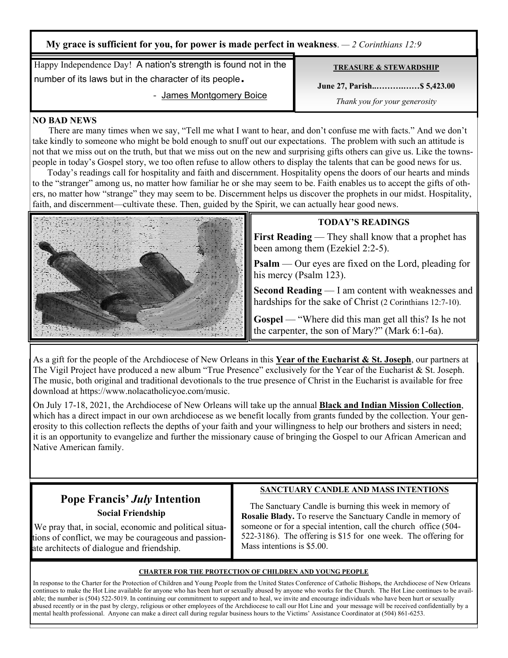| My grace is sufficient for you, for power is made perfect in weakness. $-2$ Corinthians 12.9 |                                   |  |
|----------------------------------------------------------------------------------------------|-----------------------------------|--|
| Happy Independence Day! A nation's strength is found not in the                              | <b>TREASURE &amp; STEWARDSHIP</b> |  |
| number of its laws but in the character of its people.                                       | June 27, Parish \$5,423.00        |  |
| - James Montgomery Boice                                                                     | Thank you for your generosity     |  |

#### **NO BAD NEWS**

 There are many times when we say, "Tell me what I want to hear, and don't confuse me with facts." And we don't take kindly to someone who might be bold enough to snuff out our expectations. The problem with such an attitude is not that we miss out on the truth, but that we miss out on the new and surprising gifts others can give us. Like the townspeople in today's Gospel story, we too often refuse to allow others to display the talents that can be good news for us.

 Today's readings call for hospitality and faith and discernment. Hospitality opens the doors of our hearts and minds to the "stranger" among us, no matter how familiar he or she may seem to be. Faith enables us to accept the gifts of others, no matter how "strange" they may seem to be. Discernment helps us discover the prophets in our midst. Hospitality, faith, and discernment—cultivate these. Then, guided by the Spirit, we can actually hear good news.



#### **TODAY'S READINGS**

**First Reading** — They shall know that a prophet has been among them (Ezekiel 2:2-5).

**Psalm** — Our eyes are fixed on the Lord, pleading for his mercy (Psalm 123).

**Second Reading** — I am content with weaknesses and hardships for the sake of Christ (2 Corinthians 12:7-10).

**Gospel** — "Where did this man get all this? Is he not the carpenter, the son of Mary?" (Mark 6:1-6a).

As a gift for the people of the Archdiocese of New Orleans in this **Year of the Eucharist & St. Joseph**, our partners at The Vigil Project have produced a new album "True Presence" exclusively for the Year of the Eucharist & St. Joseph. The music, both original and traditional devotionals to the true presence of Christ in the Eucharist is available for free download at https://www.nolacatholicyoe.com/music.

On July 17-18, 2021, the Archdiocese of New Orleans will take up the annual **Black and Indian Mission Collection**, which has a direct impact in our own archdiocese as we benefit locally from grants funded by the collection. Your generosity to this collection reflects the depths of your faith and your willingness to help our brothers and sisters in need; it is an opportunity to evangelize and further the missionary cause of bringing the Gospel to our African American and Native American family.

## **Pope Francis'** *July* **Intention Social Friendship**

## **SANCTUARY CANDLE AND MASS INTENTIONS**

 We pray that, in social, economic and political situations of conflict, we may be courageous and passionate architects of dialogue and friendship.

 The Sanctuary Candle is burning this week in memory of **Rosalie Blady.** To reserve the Sanctuary Candle in memory of someone or for a special intention, call the church office (504- 522-3186). The offering is \$15 for one week. The offering for Mass intentions is \$5.00.

#### **CHARTER FOR THE PROTECTION OF CHILDREN AND YOUNG PEOPLE**

In response to the Charter for the Protection of Children and Young People from the United States Conference of Catholic Bishops, the Archdiocese of New Orleans continues to make the Hot Line available for anyone who has been hurt or sexually abused by anyone who works for the Church. The Hot Line continues to be available; the number is (504) 522-5019. In continuing our commitment to support and to heal, we invite and encourage individuals who have been hurt or sexually abused recently or in the past by clergy, religious or other employees of the Archdiocese to call our Hot Line and your message will be received confidentially by a mental health professional. Anyone can make a direct call during regular business hours to the Victims' Assistance Coordinator at (504) 861-6253.